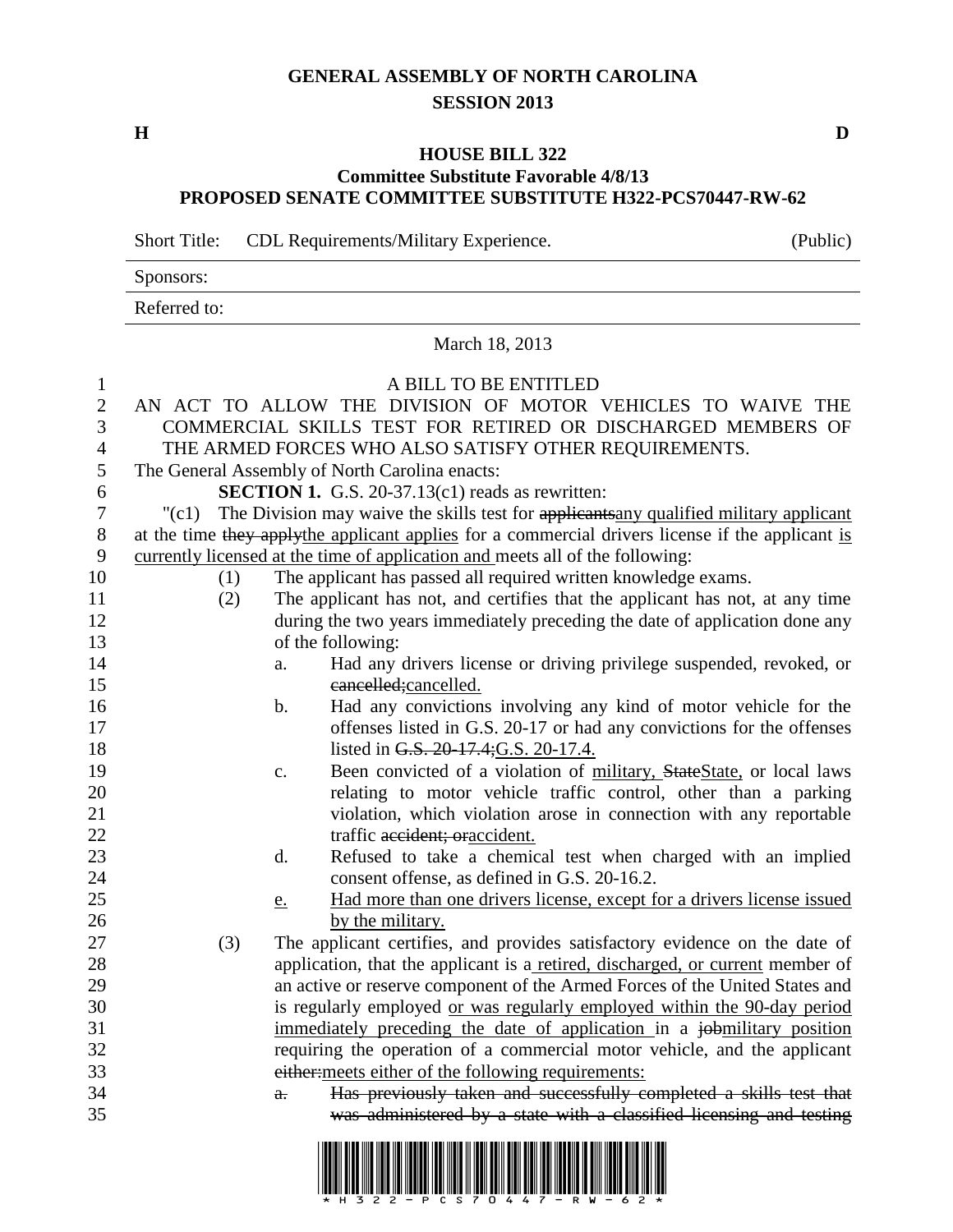## **GENERAL ASSEMBLY OF NORTH CAROLINA SESSION 2013**

## **HOUSE BILL 322 Committee Substitute Favorable 4/8/13 PROPOSED SENATE COMMITTEE SUBSTITUTE H322-PCS70447-RW-62**

Short Title: CDL Requirements/Military Experience. (Public)

|                  | Sponsors:                                                                                         |                                                                                        |                                                                                                                                         |  |  |  |
|------------------|---------------------------------------------------------------------------------------------------|----------------------------------------------------------------------------------------|-----------------------------------------------------------------------------------------------------------------------------------------|--|--|--|
|                  | Referred to:                                                                                      |                                                                                        |                                                                                                                                         |  |  |  |
|                  | March 18, 2013                                                                                    |                                                                                        |                                                                                                                                         |  |  |  |
| $\mathbf{1}$     |                                                                                                   | A BILL TO BE ENTITLED                                                                  |                                                                                                                                         |  |  |  |
| $\boldsymbol{2}$ |                                                                                                   | AN ACT TO ALLOW THE DIVISION OF MOTOR VEHICLES TO WAIVE THE                            |                                                                                                                                         |  |  |  |
| 3                |                                                                                                   | COMMERCIAL SKILLS TEST FOR RETIRED OR DISCHARGED MEMBERS OF                            |                                                                                                                                         |  |  |  |
| 4                |                                                                                                   | THE ARMED FORCES WHO ALSO SATISFY OTHER REQUIREMENTS.                                  |                                                                                                                                         |  |  |  |
| 5                |                                                                                                   | The General Assembly of North Carolina enacts:                                         |                                                                                                                                         |  |  |  |
| 6                |                                                                                                   | <b>SECTION 1.</b> G.S. 20-37.13(c1) reads as rewritten:                                |                                                                                                                                         |  |  |  |
| $\tau$           | $"({c}1)$                                                                                         | The Division may waive the skills test for applicants any qualified military applicant |                                                                                                                                         |  |  |  |
| 8                | at the time they apply the applicant applies for a commercial drivers license if the applicant is |                                                                                        |                                                                                                                                         |  |  |  |
| 9                | currently licensed at the time of application and meets all of the following:                     |                                                                                        |                                                                                                                                         |  |  |  |
| 10               | (1)                                                                                               |                                                                                        | The applicant has passed all required written knowledge exams.                                                                          |  |  |  |
| 11               | (2)                                                                                               |                                                                                        | The applicant has not, and certifies that the applicant has not, at any time                                                            |  |  |  |
| 12               |                                                                                                   | during the two years immediately preceding the date of application done any            |                                                                                                                                         |  |  |  |
| 13               |                                                                                                   |                                                                                        | of the following:                                                                                                                       |  |  |  |
| 14               |                                                                                                   | a.                                                                                     | Had any drivers license or driving privilege suspended, revoked, or                                                                     |  |  |  |
| 15               |                                                                                                   |                                                                                        | eancelled; cancelled.                                                                                                                   |  |  |  |
| 16               |                                                                                                   | b.                                                                                     | Had any convictions involving any kind of motor vehicle for the                                                                         |  |  |  |
| 17               |                                                                                                   |                                                                                        | offenses listed in G.S. 20-17 or had any convictions for the offenses                                                                   |  |  |  |
| 18<br>19         |                                                                                                   |                                                                                        | listed in G.S. 20-17.4; G.S. 20-17.4.                                                                                                   |  |  |  |
| 20               |                                                                                                   | c.                                                                                     | Been convicted of a violation of military, StateState, or local laws<br>relating to motor vehicle traffic control, other than a parking |  |  |  |
| 21               |                                                                                                   |                                                                                        | violation, which violation arose in connection with any reportable                                                                      |  |  |  |
| 22               |                                                                                                   |                                                                                        | traffic accident; oraccident.                                                                                                           |  |  |  |
| 23               |                                                                                                   | $\mathbf{d}$ .                                                                         | Refused to take a chemical test when charged with an implied                                                                            |  |  |  |
| 24               |                                                                                                   |                                                                                        | consent offense, as defined in G.S. 20-16.2.                                                                                            |  |  |  |
| 25               |                                                                                                   | e.                                                                                     | Had more than one drivers license, except for a drivers license issued                                                                  |  |  |  |
| 26               |                                                                                                   |                                                                                        | by the military.                                                                                                                        |  |  |  |
| 27               | (3)                                                                                               |                                                                                        | The applicant certifies, and provides satisfactory evidence on the date of                                                              |  |  |  |
| 28               |                                                                                                   |                                                                                        | application, that the applicant is a retired, discharged, or current member of                                                          |  |  |  |
| 29               |                                                                                                   |                                                                                        | an active or reserve component of the Armed Forces of the United States and                                                             |  |  |  |
| 30               |                                                                                                   |                                                                                        | is regularly employed or was regularly employed within the 90-day period                                                                |  |  |  |
| 31               |                                                                                                   |                                                                                        | immediately preceding the date of application in a jobmilitary position                                                                 |  |  |  |
| 32               |                                                                                                   |                                                                                        | requiring the operation of a commercial motor vehicle, and the applicant                                                                |  |  |  |
| 33               |                                                                                                   |                                                                                        | either: meets either of the following requirements:                                                                                     |  |  |  |
| 34               |                                                                                                   | a.                                                                                     | Has previously taken and successfully completed a skills test that                                                                      |  |  |  |
| 35               |                                                                                                   |                                                                                        | was administered by a state with a classified licensing and testing                                                                     |  |  |  |



**H D**